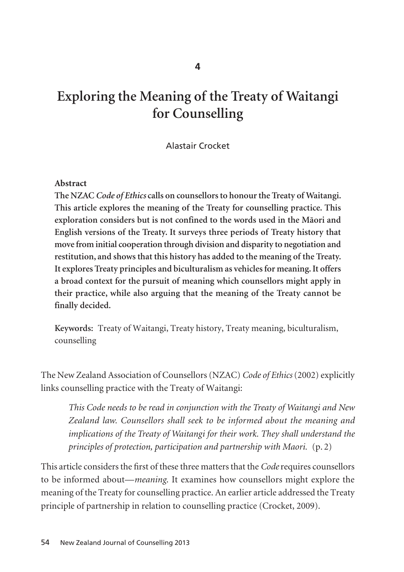# **Exploring the Meaning of the Treaty of Waitangi for Counselling**

# Alastair Crocket

## **Abstract**

**The NZAC** *Code of Ethics* **calls on counsellors to honour the Treaty of Waitangi. This article explores the meaning of the Treaty for counselling practice. This exploration considers but is not confined to the words used in the Mäori and English versions of the Treaty. It surveys three periods of Treaty history that move from initial cooperation through division and disparity to negotiation and restitution, and shows that this history has added to the meaning of the Treaty. It explores Treaty principles and biculturalism as vehicles for meaning. It offers a broad context for the pursuit of meaning which counsellors might apply in their practice, while also arguing that the meaning of the Treaty cannot be finally decided.** 

**Keywords:** Treaty of Waitangi, Treaty history, Treaty meaning, biculturalism, counselling

The New Zealand Association of Counsellors (NZAC) *Code of Ethics*(2002) explicitly links counselling practice with the Treaty of Waitangi:

*This Code needs to be read in conjunction with the Treaty of Waitangi and New Zealand law. Counsellors shall seek to be informed about the meaning and implications of the Treaty of Waitangi for their work. They shall understand the principles of protection, participation and partnership with Maori.* (p. 2)

This article considers the first of these three matters that the *Code*requires counsellors to be informed about—*meaning*. It examines how counsellors might explore the meaning of the Treaty for counselling practice. An earlier article addressed the Treaty principle of partnership in relation to counselling practice (Crocket, 2009).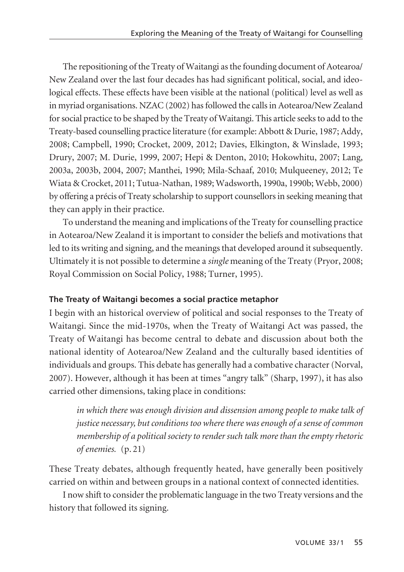The repositioning of the Treaty of Waitangi as the founding document of Aotearoa/ New Zealand over the last four decades has had significant political, social, and ideological effects. These effects have been visible at the national (political) level as well as in myriad organisations. NZAC (2002) has followed the calls in Aotearoa/New Zealand for social practice to be shaped by the Treaty of Waitangi. This article seeks to add to the Treaty-based counselling practice literature (for example: Abbott & Durie, 1987; Addy, 2008; Campbell, 1990; Crocket, 2009, 2012; Davies, Elkington, & Winslade, 1993; Drury, 2007; M. Durie, 1999, 2007; Hepi & Denton, 2010; Hokowhitu, 2007; Lang, 2003a, 2003b, 2004, 2007; Manthei, 1990; Mila-Schaaf, 2010; Mulqueeney, 2012; Te Wiata & Crocket, 2011; Tutua-Nathan, 1989; Wadsworth, 1990a, 1990b; Webb, 2000) by offering a précis of Treaty scholarship to support counsellors in seeking meaning that they can apply in their practice.

To understand the meaning and implications of the Treaty for counselling practice in Aotearoa/New Zealand it is important to consider the beliefs and motivations that led to its writing and signing, and the meanings that developed around it subsequently. Ultimately it is not possible to determine a *single* meaning of the Treaty (Pryor, 2008; Royal Commission on Social Policy, 1988; Turner, 1995).

# **The Treaty of Waitangi becomes a social practice metaphor**

I begin with an historical overview of political and social responses to the Treaty of Waitangi. Since the mid-1970s, when the Treaty of Waitangi Act was passed, the Treaty of Waitangi has become central to debate and discussion about both the national identity of Aotearoa/New Zealand and the culturally based identities of individuals and groups. This debate has generally had a combative character (Norval, 2007). However, although it has been at times "angry talk" (Sharp, 1997), it has also carried other dimensions, taking place in conditions:

*in which there was enough division and dissension among people to make talk of justice necessary, but conditions too where there was enough of a sense of common membership of a political society to render such talk more than the empty rhetoric of enemies.* (p. 21)

These Treaty debates, although frequently heated, have generally been positively carried on within and between groups in a national context of connected identities.

I now shift to consider the problematic language in the two Treaty versions and the history that followed its signing.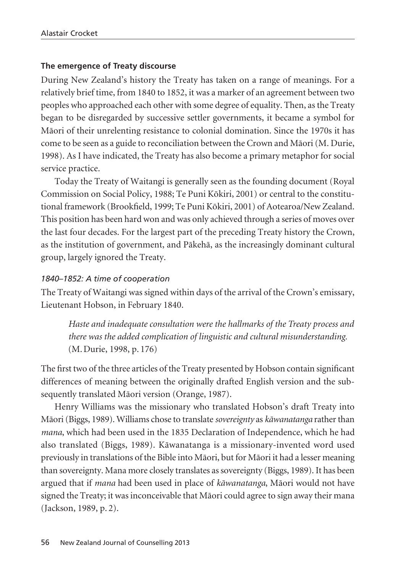#### **The emergence of Treaty discourse**

During New Zealand's history the Treaty has taken on a range of meanings. For a relatively brief time, from 1840 to 1852, it was a marker of an agreement between two peoples who approached each other with some degree of equality. Then, as the Treaty began to be disregarded by successive settler governments, it became a symbol for Mäori of their unrelenting resistance to colonial domination. Since the 1970s it has come to be seen as a guide to reconciliation between the Crown and Mäori (M. Durie, 1998). As I have indicated, the Treaty has also become a primary metaphor for social service practice.

Today the Treaty of Waitangi is generally seen as the founding document (Royal Commission on Social Policy, 1988; Te Puni Kökiri, 2001) or central to the constitu tional framework (Brookfield, 1999; Te Puni Kökiri, 2001) of Aotearoa/New Zealand. This position has been hard won and was only achieved through a series of moves over the last four decades. For the largest part of the preceding Treaty history the Crown, as the institution of government, and Päkehä, as the increasingly dominant cultural group, largely ignored the Treaty.

## *1840–1852: A time of cooperation*

The Treaty of Waitangi was signed within days of the arrival of the Crown's emissary, Lieutenant Hobson, in February 1840.

*Haste and inadequate consultation were the hallmarks of the Treaty process and there was the added complication of linguistic and cultural misunderstanding.* (M. Durie, 1998, p. 176)

The first two of the three articles of the Treaty presented by Hobson contain significant differences of meaning between the originally drafted English version and the sub sequently translated Mäori version (Orange, 1987).

Henry Williams was the missionary who translated Hobson's draft Treaty into Mäori (Biggs, 1989). Williams chose to translate *sovereignty* as *käwanatanga* rather than *mana*, which had been used in the 1835 Declaration of Independence, which he had also translated (Biggs, 1989). Käwanatanga is a missionary-invented word used previously in translations of the Bible into Mäori, but for Mäori it had a lesser meaning than sovereignty. Mana more closely translates as sovereignty (Biggs, 1989). It has been argued that if *mana* had been used in place of *käwanatanga*, Mäori would not have signed the Treaty; it was inconceivable that Mäori could agree to sign away their mana (Jackson, 1989, p. 2).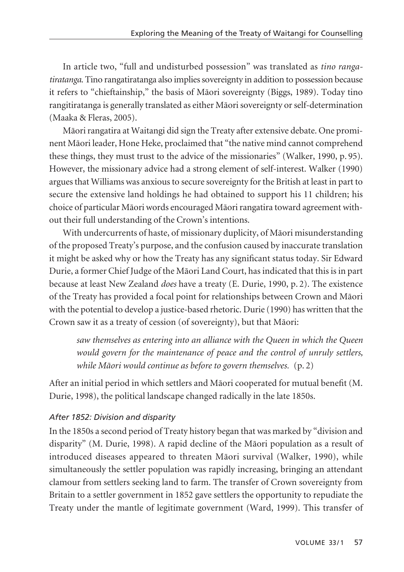In article two, "full and undisturbed possession" was translated as *tino ranga tiratanga*. Tino rangatiratanga also implies sovereignty in addition to possession because it refers to "chieftainship," the basis of Mäori sovereignty (Biggs, 1989). Today tino rangitiratanga is generally translated as either Mäori sovereignty or self-determination (Maaka & Fleras, 2005).

Mäori rangatira at Waitangi did sign the Treaty after extensive debate. One prominent Mäori leader, Hone Heke, proclaimed that "the native mind cannot comprehend these things, they must trust to the advice of the missionaries" (Walker, 1990, p. 95). However, the missionary advice had a strong element of self-interest. Walker (1990) argues that Williams was anxious to secure sovereignty for the British at least in part to secure the extensive land holdings he had obtained to support his 11 children; his choice of particular Mäori words encouraged Mäori rangatira toward agreement without their full understanding of the Crown's intentions.

With undercurrents of haste, of missionary duplicity, of Mäori misunderstanding of the proposed Treaty's purpose, and the confusion caused by inaccurate translation it might be asked why or how the Treaty has any significant status today. Sir Edward Durie, a former Chief Judge of the Mäori Land Court, has indicated that this is in part because at least New Zealand *does* have a treaty (E. Durie, 1990, p. 2). The existence of the Treaty has provided a focal point for relationships between Crown and Mäori with the potential to develop a justice-based rhetoric. Durie (1990) has written that the Crown saw it as a treaty of cession (of sovereignty), but that Mäori:

*saw themselves as entering into an alliance with the Queen in which the Queen would govern for the maintenance of peace and the control of unruly settlers, while Mäori would continue as before to govern themselves.* (p. 2)

After an initial period in which settlers and Mäori cooperated for mutual benefit (M. Durie, 1998), the political landscape changed radically in the late 1850s.

# *After 1852: Division and disparity*

In the 1850s a second period of Treaty history began that was marked by "division and disparity" (M. Durie, 1998). A rapid decline of the Mäori population as a result of introduced diseases appeared to threaten Mäori survival (Walker, 1990), while simultaneously the settler population was rapidly increasing, bringing an attendant clamour from settlers seeking land to farm. The transfer of Crown sovereignty from Britain to a settler government in 1852 gave settlers the opportunity to repudiate the Treaty under the mantle of legitimate government (Ward, 1999). This transfer of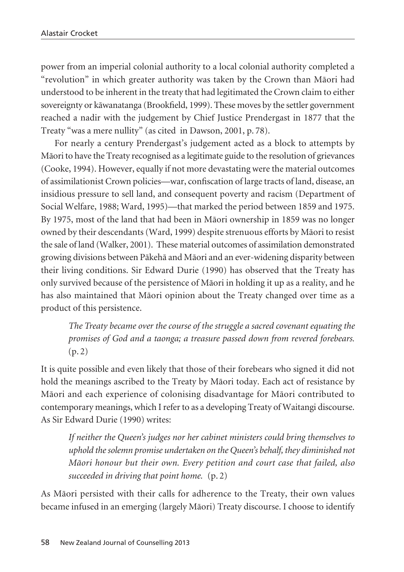power from an imperial colonial authority to a local colonial authority completed a "revolution" in which greater authority was taken by the Crown than Mäori had understood to be inherent in the treaty that had legitimated the Crown claim to either sovereignty or käwanatanga (Brookfield, 1999). These moves by the settler government reached a nadir with the judgement by Chief Justice Prendergast in 1877 that the Treaty "was a mere nullity" (as cited in Dawson, 2001, p. 78).

For nearly a century Prendergast's judgement acted as a block to attempts by Mäori to have the Treaty recognised as a legitimate guide to the resolution of grievances (Cooke, 1994). However, equally if not more devastating were the material outcomes of assimilationist Crown policies—war, confiscation of large tracts of land, disease, an insidious pressure to sell land, and consequent poverty and racism (Department of Social Welfare, 1988; Ward, 1995)—that marked the period between 1859 and 1975. By 1975, most of the land that had been in Mäori ownership in 1859 was no longer owned by their descendants (Ward, 1999) despite strenuous efforts by Mäori to resist the sale of land (Walker, 2001). These material outcomes of assimilation demonstrated growing divisions between Päkehä and Mäori and an ever-widening disparity between their living conditions. Sir Edward Durie (1990) has observed that the Treaty has only survived because of the persistence of Mäori in holding it up as a reality, and he has also maintained that Mäori opinion about the Treaty changed over time as a product of this persistence.

*The Treaty became over the course of the struggle a sacred covenant equating the promises of God and a taonga; a treasure passed down from revered forebears.* (p. 2)

It is quite possible and even likely that those of their forebears who signed it did not hold the meanings ascribed to the Treaty by Mäori today. Each act of resistance by Mäori and each experience of colonising disadvantage for Mäori contributed to contemporary meanings, which I refer to as a developing Treaty of Waitangi discourse. As Sir Edward Durie (1990) writes:

*If neither the Queen's judges nor her cabinet ministers could bring themselves to uphold the solemn promise undertaken on the Queen's behalf, they diminished not Mäori honour but their own. Every petition and court case that failed, also succeeded in driving that point home.* (p. 2)

As Mäori persisted with their calls for adherence to the Treaty, their own values became infused in an emerging (largely Mäori) Treaty discourse. I choose to identify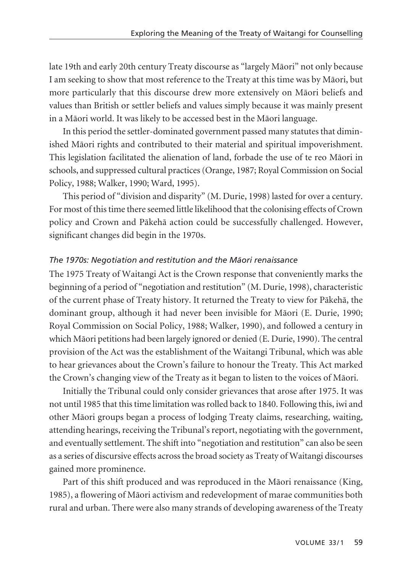late 19th and early 20th century Treaty discourse as "largely Mäori" not only because I am seeking to show that most reference to the Treaty at this time was by Mäori, but more particularly that this discourse drew more extensively on Mäori beliefs and values than British or settler beliefs and values simply because it was mainly present in a Mäori world. It was likely to be accessed best in the Mäori language.

In this period the settler-dominated government passed many statutes that diminished Mäori rights and contributed to their material and spiritual impoverishment. This legislation facilitated the alienation of land, forbade the use of te reo Mäori in schools, and suppressed cultural practices (Orange, 1987; Royal Commission on Social Policy, 1988; Walker, 1990; Ward, 1995).

This period of "division and disparity" (M. Durie, 1998) lasted for over a century. For most of this time there seemed little likelihood that the colonising effects of Crown policy and Crown and Päkehä action could be successfully challenged. However, significant changes did begin in the 1970s.

## *The 1970s: Negotiation and restitution and the Mäori renaissance*

The 1975 Treaty of Waitangi Act is the Crown response that conveniently marks the beginning of a period of "negotiation and restitution" (M. Durie, 1998), characteristic of the current phase of Treaty history. It returned the Treaty to view for Päkehä, the dominant group, although it had never been invisible for Mäori (E. Durie, 1990; Royal Commission on Social Policy, 1988; Walker, 1990), and followed a century in which Mäori petitions had been largely ignored or denied (E. Durie, 1990). The central provision of the Act was the establishment of the Waitangi Tribunal, which was able to hear grievances about the Crown's failure to honour the Treaty. This Act marked the Crown's changing view of the Treaty as it began to listen to the voices of Mäori.

Initially the Tribunal could only consider grievances that arose after 1975. It was not until 1985 that this time limitation was rolled back to 1840. Following this, iwi and other Mäori groups began a process of lodging Treaty claims, researching, waiting, attending hearings, receiving the Tribunal's report, negotiating with the government, and eventually settlement. The shift into "negotiation and restitution" can also be seen as a series of discursive effects across the broad society as Treaty of Waitangi discourses gained more prominence.

Part of this shift produced and was reproduced in the Mäori renaissance (King, 1985), a flowering of Mäori activism and redevelopment of marae communities both rural and urban. There were also many strands of developing awareness of the Treaty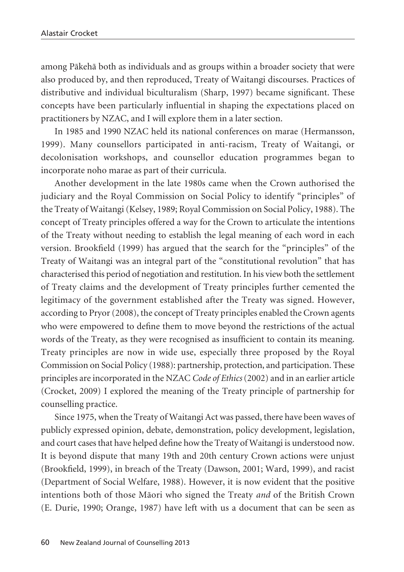among Päkehä both as individuals and as groups within a broader society that were also produced by, and then reproduced, Treaty of Waitangi discourses. Practices of distributive and individual biculturalism (Sharp, 1997) became significant. These concepts have been particularly influential in shaping the expectations placed on practitioners by NZAC, and I will explore them in a later section.

In 1985 and 1990 NZAC held its national conferences on marae (Hermansson, 1999). Many counsellors participated in anti-racism, Treaty of Waitangi, or decolonisation workshops, and counsellor education programmes began to incorporate noho marae as part of their curricula.

Another development in the late 1980s came when the Crown authorised the judiciary and the Royal Commission on Social Policy to identify "principles" of the Treaty of Waitangi (Kelsey, 1989; Royal Commission on Social Policy, 1988). The concept of Treaty principles offered a way for the Crown to articulate the intentions of the Treaty without needing to establish the legal meaning of each word in each version. Brookfield (1999) has argued that the search for the "principles" of the Treaty of Waitangi was an integral part of the "constitutional revolution" that has characterised this period of negotiation and restitution. In his view both the settlement of Treaty claims and the development of Treaty principles further cemented the legitimacy of the government established after the Treaty was signed. However, according to Pryor (2008), the concept of Treaty principles enabled the Crown agents who were empowered to define them to move beyond the restrictions of the actual words of the Treaty, as they were recognised as insufficient to contain its meaning. Treaty principles are now in wide use, especially three proposed by the Royal Commission on Social Policy (1988): partnership, protection, and participation. These principles are incorporated in the NZAC *Code of Ethics*(2002) and in an earlier article (Crocket, 2009) I explored the meaning of the Treaty principle of partnership for counselling practice.

Since 1975, when the Treaty of Waitangi Act was passed, there have been waves of publicly expressed opinion, debate, demonstration, policy development, legislation, and court cases that have helped define how the Treaty of Waitangi is understood now. It is beyond dispute that many 19th and 20th century Crown actions were unjust (Brookfield, 1999), in breach of the Treaty (Dawson, 2001; Ward, 1999), and racist (Department of Social Welfare, 1988). However, it is now evident that the positive intentions both of those Mäori who signed the Treaty *and* of the British Crown (E. Durie, 1990; Orange, 1987) have left with us a document that can be seen as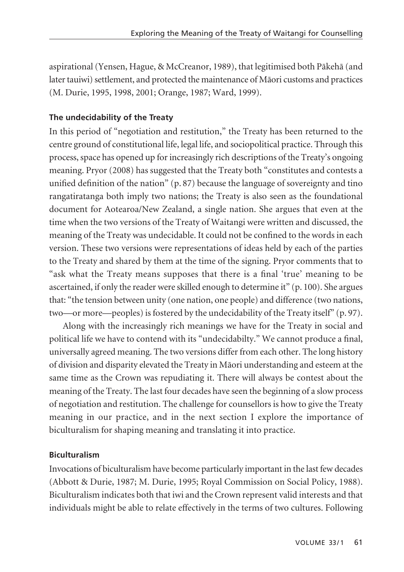aspirational (Yensen, Hague, & McCreanor, 1989), that legitimised both Päkehä (and later tauiwi) settlement, and protected the maintenance of Mäori customs and practices (M. Durie, 1995, 1998, 2001; Orange, 1987; Ward, 1999).

# **The undecidability of the Treaty**

In this period of "negotiation and restitution," the Treaty has been returned to the centre ground of constitutional life, legal life, and sociopolitical practice. Through this process, space has opened up for increasingly rich descriptions of the Treaty's ongoing meaning. Pryor (2008) has suggested that the Treaty both "constitutes and contests a unified definition of the nation" (p. 87) because the language of sovereignty and tino rangatiratanga both imply two nations; the Treaty is also seen as the foundational document for Aotearoa/New Zealand, a single nation. She argues that even at the time when the two versions of the Treaty of Waitangi were written and discussed, the meaning of the Treaty was undecidable. It could not be confined to the words in each version. These two versions were representations of ideas held by each of the parties to the Treaty and shared by them at the time of the signing. Pryor comments that to "ask what the Treaty means supposes that there is a final 'true' meaning to be ascertained, if only the reader were skilled enough to determine it" (p. 100). She argues that: "the tension between unity (one nation, one people) and difference (two nations, two—or more—peoples) is fostered by the undecidability of the Treaty itself" (p. 97).

Along with the increasingly rich meanings we have for the Treaty in social and political life we have to contend with its "undecidabilty." We cannot produce a final, universally agreed meaning. The two versions differ from each other. The long history of division and disparity elevated the Treaty in Mäori understanding and esteem at the same time as the Crown was repudiating it. There will always be contest about the meaning of the Treaty. The last four decades have seen the beginning of a slow process of negotiation and restitution. The challenge for counsellors is how to give the Treaty meaning in our practice, and in the next section I explore the importance of biculturalism for shaping meaning and translating it into practice.

# **Biculturalism**

Invocations of biculturalism have become particularly important in the last few decades (Abbott & Durie, 1987; M. Durie, 1995; Royal Commission on Social Policy, 1988). Biculturalism indicates both that iwi and the Crown represent valid interests and that individuals might be able to relate effectively in the terms of two cultures. Following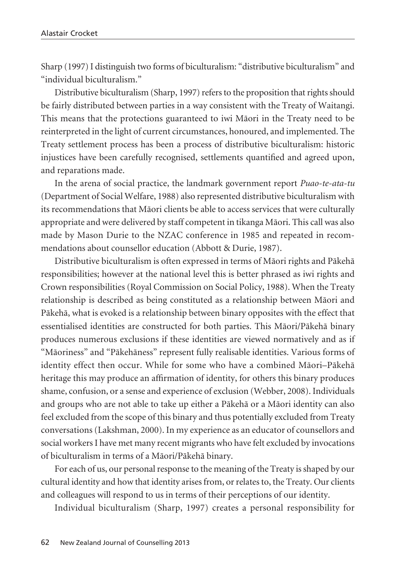Sharp (1997) I distinguish two forms of biculturalism: "distributive biculturalism" and "individual biculturalism."

Distributive biculturalism (Sharp, 1997) refers to the proposition that rights should be fairly distributed between parties in a way consistent with the Treaty of Waitangi. This means that the protections guaranteed to iwi Mäori in the Treaty need to be reinterpreted in the light of current circumstances, honoured, and implemented. The Treaty settlement process has been a process of distributive biculturalism: historic injustices have been carefully recognised, settlements quantified and agreed upon, and reparations made.

In the arena of social practice, the landmark government report *Puao-te-ata-tu* (Department of Social Welfare, 1988) also represented distributive biculturalism with its recommendations that Mäori clients be able to access services that were culturally appropriate and were delivered by staff competent in tikanga Mäori. This call was also made by Mason Durie to the NZAC conference in 1985 and repeated in recommendations about counsellor education (Abbott & Durie, 1987).

Distributive biculturalism is often expressed in terms of Mäori rights and Päkehä responsibilities; however at the national level this is better phrased as iwi rights and Crown responsibilities (Royal Commission on Social Policy, 1988). When the Treaty relationship is described as being constituted as a relationship between Mäori and Päkehä, what is evoked is a relationship between binary opposites with the effect that essentialised identities are constructed for both parties. This Mäori/Päkehä binary produces numerous exclusions if these identities are viewed normatively and as if "Mäoriness" and "Päkehäness" represent fully realisable identities. Various forms of identity effect then occur. While for some who have a combined Mäori–Päkehä heritage this may produce an affirmation of identity, for others this binary produces shame, confusion, or a sense and experience of exclusion (Webber, 2008). Individuals and groups who are not able to take up either a Päkehä or a Mäori identity can also feel excluded from the scope of this binary and thus potentially excluded from Treaty conversations (Lakshman, 2000). In my experience as an educator of counsellors and social workers I have met many recent migrants who have felt excluded by invocations of biculturalism in terms of a Mäori/Päkehä binary.

For each of us, our personal response to the meaning of the Treaty is shaped by our cultural identity and how that identity arises from, or relates to, the Treaty. Our clients and colleagues will respond to us in terms of their perceptions of our identity.

Individual biculturalism (Sharp, 1997) creates a personal responsibility for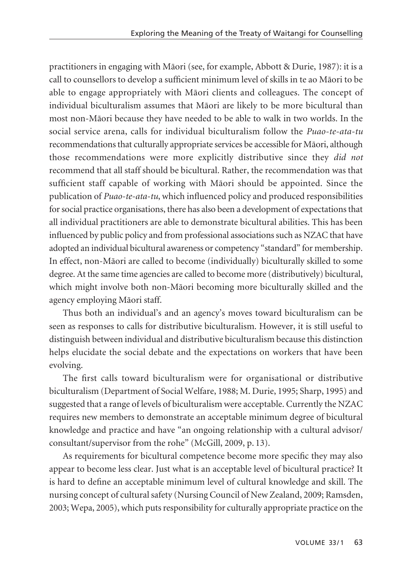practitioners in engaging with Mäori (see, for example, Abbott & Durie, 1987): it is a call to counsellors to develop a sufficient minimum level of skills in te ao Mäori to be able to engage appropriately with Mäori clients and colleagues. The concept of individual biculturalism assumes that Mäori are likely to be more bicultural than most non-Mäori because they have needed to be able to walk in two worlds. In the social service arena, calls for individual biculturalism follow the *Puao-te-ata-tu* recommendations that culturally appropriate services be accessible for Mäori, although those recommendations were more explicitly distributive since they *did not* recommend that all staff should be bicultural. Rather, the recommendation was that sufficient staff capable of working with Mäori should be appointed. Since the publication of *Puao-te-ata-tu*, which influenced policy and produced responsibilities for social practice organisations, there has also been a development of expectations that all individual practitioners are able to demonstrate bicultural abilities. This has been influenced by public policy and from professional associations such as NZAC that have adopted an individual bicultural awareness or competency "standard" for membership. In effect, non-Mäori are called to become (individually) biculturally skilled to some degree. At the same time agencies are called to become more (distributively) bicultural, which might involve both non-Mäori becoming more biculturally skilled and the agency employing Mäori staff.

Thus both an individual's and an agency's moves toward biculturalism can be seen as responses to calls for distributive biculturalism. However, it is still useful to distinguish between individual and distributive biculturalism because this distinction helps elucidate the social debate and the expectations on workers that have been evolving.

The first calls toward biculturalism were for organisational or distributive biculturalism (Department of Social Welfare, 1988; M. Durie, 1995; Sharp, 1995) and suggested that a range of levels of biculturalism were acceptable. Currently the NZAC requires new members to demonstrate an acceptable minimum degree of bicultural knowledge and practice and have "an ongoing relationship with a cultural advisor/ consultant/supervisor from the rohe" (McGill, 2009, p. 13).

As requirements for bicultural competence become more specific they may also appear to become less clear. Just what is an acceptable level of bicultural practice? It is hard to define an acceptable minimum level of cultural knowledge and skill. The nursing concept of cultural safety (Nursing Council of New Zealand, 2009; Ramsden, 2003; Wepa, 2005), which puts responsibility for culturally appropriate practice on the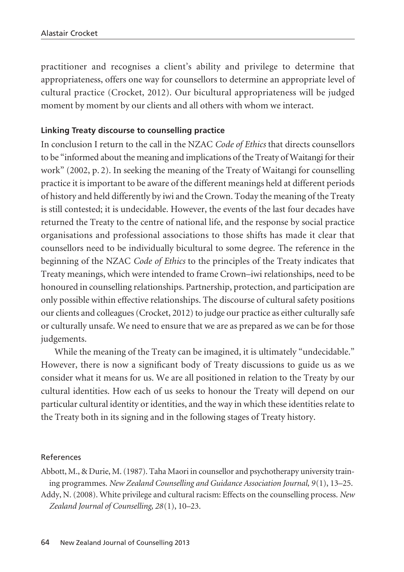practitioner and recognises a client's ability and privilege to determine that appropriateness, offers one way for counsellors to determine an appropriate level of cultural practice (Crocket, 2012). Our bicultural appropriateness will be judged moment by moment by our clients and all others with whom we interact.

## **Linking Treaty discourse to counselling practice**

In conclusion I return to the call in the NZAC *Code of Ethics* that directs counsellors to be "informed about the meaning and implications of the Treaty of Waitangi for their work" (2002, p. 2). In seeking the meaning of the Treaty of Waitangi for counselling practice it is important to be aware of the different meanings held at different periods of history and held differently by iwi and the Crown. Today the meaning of the Treaty is still contested; it is undecidable. However, the events of the last four decades have returned the Treaty to the centre of national life, and the response by social practice organisations and professional associations to those shifts has made it clear that counsellors need to be individually bicultural to some degree. The reference in the beginning of the NZAC *Code of Ethics* to the principles of the Treaty indicates that Treaty meanings, which were intended to frame Crown–iwi relationships, need to be honoured in counselling relationships. Partnership, protection, and participation are only possible within effective relationships. The discourse of cultural safety positions our clients and colleagues (Crocket, 2012) to judge our practice as either culturally safe or culturally unsafe. We need to ensure that we are as prepared as we can be for those judgements.

While the meaning of the Treaty can be imagined, it is ultimately "undecidable." However, there is now a significant body of Treaty discussions to guide us as we consider what it means for us. We are all positioned in relation to the Treaty by our cultural identities. How each of us seeks to honour the Treaty will depend on our particular cultural identity or identities, and the way in which these identities relate to the Treaty both in its signing and in the following stages of Treaty history.

#### References

Abbott, M., & Durie, M. (1987). Taha Maori in counsellor and psychotherapy university training programmes. *New Zealand Counselling and Guidance Association Journal, 9*(1), 13–25.

Addy, N. (2008). White privilege and cultural racism: Effects on the counselling process. *New Zealand Journal of Counselling, 28*(1), 10–23.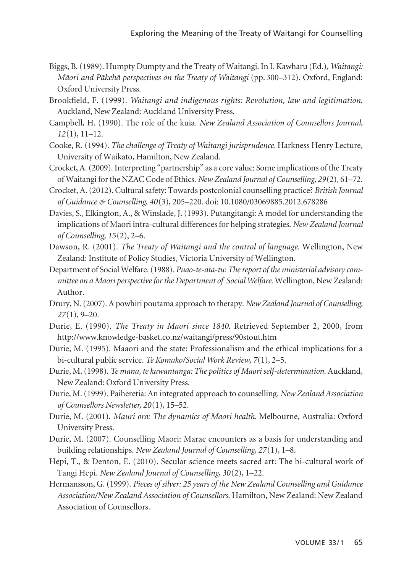- Biggs, B. (1989). Humpty Dumpty and the Treaty of Waitangi. In I. Kawharu (Ed.), *Waitangi: Mäori and Päkehä perspectives on the Treaty of Waitangi* (pp. 300–312). Oxford, England: Oxford University Press.
- Brookfield, F. (1999). *Waitangi and indigenous rights: Revolution, law and legitimation*. Auckland, New Zealand: Auckland University Press.
- Campbell, H. (1990). The role of the kuia. *New Zealand Association of Counsellors Journal, 12*(1), 11–12.
- Cooke, R. (1994). *The challenge of Treaty of Waitangi jurisprudence.* Harkness Henry Lecture, University of Waikato, Hamilton, New Zealand.
- Crocket, A. (2009). Interpreting "partnership" as a core value: Some implications of the Treaty of Waitangi for the NZAC Code of Ethics. *New Zealand Journal of Counselling, 29*(2), 61–72.
- Crocket, A. (2012). Cultural safety: Towards postcolonial counselling practice? *British Journal of Guidance & Counselling, 40*(3), 205–220. doi: 10.1080/03069885.2012.678286
- Davies, S., Elkington, A., & Winslade, J. (1993). Putangitangi: A model for understanding the implications of Maori intra-cultural differences for helping strategies. *New Zealand Journal of Counselling, 15*(2), 2–6.
- Dawson, R. (2001). *The Treaty of Waitangi and the control of language*. Wellington, New Zealand: Institute of Policy Studies, Victoria University of Wellington.
- Department of Social Welfare. (1988). *Puao-te-ata-tu: The report of the ministerial advisory committee on a Maori perspective for the Department of Social Welfare.* Wellington, New Zealand: Author.
- Drury, N. (2007). A powhiri poutama approach to therapy. *New Zealand Journal of Counselling, 27*(1), 9–20.
- Durie, E. (1990). *The Treaty in Maori since 1840*. Retrieved September 2, 2000, from http://www.knowledge-basket.co.nz/waitangi/press/90stout.htm
- Durie, M. (1995). Maaori and the state: Professionalism and the ethical implications for a bi-cultural public service. *Te Komako/Social Work Review, 7*(1), 2–5.
- Durie, M. (1998). *Te mana, te kawantanga: The politics of Maori self-determination*. Auckland, New Zealand: Oxford University Press.
- Durie, M. (1999). Paiheretia: An integrated approach to counselling. *New Zealand Association of Counsellors Newsletter, 20*(1), 15–52.
- Durie, M. (2001). *Mauri ora: The dynamics of Maori health.* Melbourne, Australia: Oxford University Press.
- Durie, M. (2007). Counselling Maori: Marae encounters as a basis for understanding and building relationships. *New Zealand Journal of Counselling, 27*(1), 1–8.
- Hepi, T., & Denton, E. (2010). Secular science meets sacred art: The bi-cultural work of Tangi Hepi. *New Zealand Journal of Counselling, 30*(2), 1–22.
- Hermansson, G. (1999). *Pieces of silver: 25 years of the New Zealand Counselling and Guidance Association/New Zealand Association of Counsellors*. Hamilton, New Zealand: New Zealand Association of Counsellors.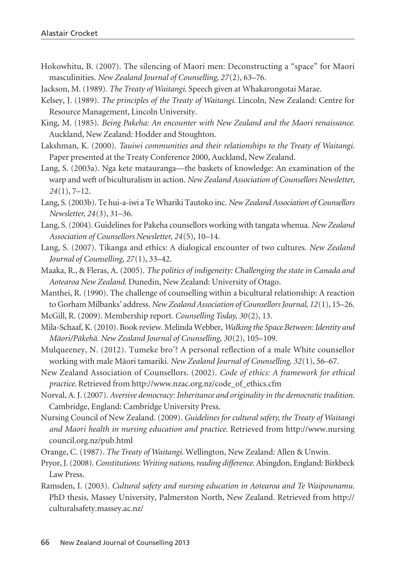- Hokowhitu, B. (2007). The silencing of Maori men: Deconstructing a "space" for Maori masculinities. *New Zealand Journal of Counselling, 27*(2), 63–76.
- Jackson, M. (1989). *The Treaty of Waitangi*. Speech given at Whakarongotai Marae.
- Kelsey, J. (1989). *The principles of the Treaty of Waitangi*. Lincoln, New Zealand: Centre for Resource Management, Lincoln University.
- King, M. (1985). *Being Pakeha: An encounter with New Zealand and the Maori renaissance*. Auckland, New Zealand: Hodder and Stoughton.
- Lakshman, K. (2000). *Tauiwi communities and their relationships to the Treaty of Waitangi.* Paper presented at the Treaty Conference 2000, Auckland, New Zealand.
- Lang, S. (2003a). Nga kete matauranga—the baskets of knowledge: An examination of the warp and weft of biculturalism in action. *New Zealand Association of Counsellors Newsletter, 24*(1), 7–12.
- Lang, S. (2003b). Te hui-a-iwi a Te Whariki Tautoko inc. *New Zealand Association of Counsellors Newsletter, 24*(3), 31–36.
- Lang, S. (2004). Guidelines for Pakeha counsellors working with tangata whenua. *New Zealand Association of Counsellors Newsletter, 24*(5), 10–14.
- Lang, S. (2007). Tikanga and ethics: A dialogical encounter of two cultures. *New Zealand Journal of Counselling, 27*(1), 33–42.
- Maaka, R., & Fleras, A. (2005). *The politics of indigeneity: Challenging the state in Canada and Aotearoa New Zealand*. Dunedin, New Zealand: University of Otago.
- Manthei, R. (1990). The challenge of counselling within a bicultural relationship: A reaction to Gorham Milbanks' address. *New Zealand Association of Counsellors Journal, 12*(1), 15–26.
- McGill, R. (2009). Membership report. *Counselling Today, 30*(2), 13.
- Mila-Schaaf, K. (2010). Book review. Melinda Webber, *Walking the Space Between: Identity and Mäori/Päkehä*. *New Zealand Journal of Counselling, 30*(2), 105–109.
- Mulqueeney, N. (2012). Tumeke bro'? A personal reflection of a male White counsellor working with male Mäori tamariki. *New Zealand Journal of Counselling, 32*(1), 56–67.
- New Zealand Association of Counsellors. (2002). *Code of ethics: A framework for ethical practice*. Retrieved from http://www.nzac.org.nz/code\_of\_ethics.cfm
- Norval, A. J. (2007). *Aversive democracy: Inheritance and originality in the democratic tradition*. Cambridge, England: Cambridge University Press.
- Nursing Council of New Zealand. (2009). *Guidelines for cultural safety, the Treaty of Waitangi and Maori health in nursing education and practice.* Retrieved from http://www.nursing council.org.nz/pub.html
- Orange, C. (1987). *The Treaty of Waitangi*. Wellington, New Zealand: Allen & Unwin.
- Pryor, J. (2008). *Constitutions: Writing nations, reading difference*. Abingdon, England: Birkbeck Law Press.
- Ramsden, I. (2003). *Cultural safety and nursing education in Aotearoa and Te Waipounamu.* PhD thesis, Massey University, Palmerston North, New Zealand. Retrieved from http:// culturalsafety.massey.ac.nz/